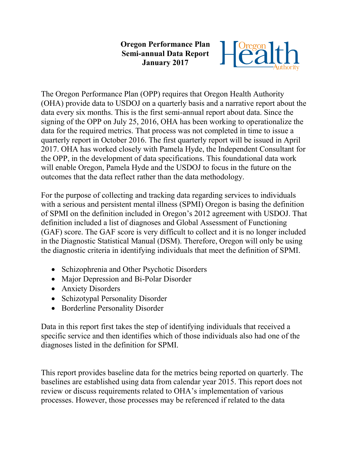**Oregon Performance Plan Semi-annual Data Report January 2017**



The Oregon Performance Plan (OPP) requires that Oregon Health Authority (OHA) provide data to USDOJ on a quarterly basis and a narrative report about the data every six months. This is the first semi-annual report about data. Since the signing of the OPP on July 25, 2016, OHA has been working to operationalize the data for the required metrics. That process was not completed in time to issue a quarterly report in October 2016. The first quarterly report will be issued in April 2017. OHA has worked closely with Pamela Hyde, the Independent Consultant for the OPP, in the development of data specifications. This foundational data work will enable Oregon, Pamela Hyde and the USDOJ to focus in the future on the outcomes that the data reflect rather than the data methodology.

For the purpose of collecting and tracking data regarding services to individuals with a serious and persistent mental illness (SPMI) Oregon is basing the definition of SPMI on the definition included in Oregon's 2012 agreement with USDOJ. That definition included a list of diagnoses and Global Assessment of Functioning (GAF) score. The GAF score is very difficult to collect and it is no longer included in the Diagnostic Statistical Manual (DSM). Therefore, Oregon will only be using the diagnostic criteria in identifying individuals that meet the definition of SPMI.

- Schizophrenia and Other Psychotic Disorders
- Major Depression and Bi-Polar Disorder
- Anxiety Disorders
- Schizotypal Personality Disorder
- Borderline Personality Disorder

Data in this report first takes the step of identifying individuals that received a specific service and then identifies which of those individuals also had one of the diagnoses listed in the definition for SPMI.

This report provides baseline data for the metrics being reported on quarterly. The baselines are established using data from calendar year 2015. This report does not review or discuss requirements related to OHA's implementation of various processes. However, those processes may be referenced if related to the data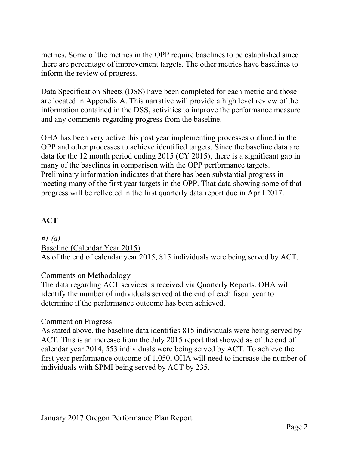metrics. Some of the metrics in the OPP require baselines to be established since there are percentage of improvement targets. The other metrics have baselines to inform the review of progress.

Data Specification Sheets (DSS) have been completed for each metric and those are located in Appendix A. This narrative will provide a high level review of the information contained in the DSS, activities to improve the performance measure and any comments regarding progress from the baseline.

OHA has been very active this past year implementing processes outlined in the OPP and other processes to achieve identified targets. Since the baseline data are data for the 12 month period ending 2015 (CY 2015), there is a significant gap in many of the baselines in comparison with the OPP performance targets. Preliminary information indicates that there has been substantial progress in meeting many of the first year targets in the OPP. That data showing some of that progress will be reflected in the first quarterly data report due in April 2017.

# **ACT**

*#1 (a)* Baseline (Calendar Year 2015) As of the end of calendar year 2015, 815 individuals were being served by ACT.

## Comments on Methodology

The data regarding ACT services is received via Quarterly Reports. OHA will identify the number of individuals served at the end of each fiscal year to determine if the performance outcome has been achieved.

## Comment on Progress

As stated above, the baseline data identifies 815 individuals were being served by ACT. This is an increase from the July 2015 report that showed as of the end of calendar year 2014, 553 individuals were being served by ACT. To achieve the first year performance outcome of 1,050, OHA will need to increase the number of individuals with SPMI being served by ACT by 235.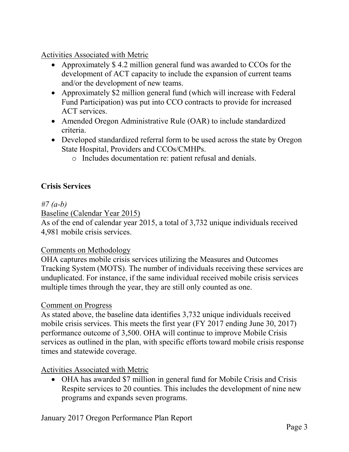Activities Associated with Metric

- Approximately \$ 4.2 million general fund was awarded to CCOs for the development of ACT capacity to include the expansion of current teams and/or the development of new teams.
- Approximately \$2 million general fund (which will increase with Federal Fund Participation) was put into CCO contracts to provide for increased ACT services.
- Amended Oregon Administrative Rule (OAR) to include standardized criteria.
- Developed standardized referral form to be used across the state by Oregon State Hospital, Providers and CCOs/CMHPs.
	- o Includes documentation re: patient refusal and denials.

# **Crisis Services**

## *#7 (a-b)*

Baseline (Calendar Year 2015)

As of the end of calendar year 2015, a total of 3,732 unique individuals received 4,981 mobile crisis services.

## Comments on Methodology

OHA captures mobile crisis services utilizing the Measures and Outcomes Tracking System (MOTS). The number of individuals receiving these services are unduplicated. For instance, if the same individual received mobile crisis services multiple times through the year, they are still only counted as one.

## Comment on Progress

As stated above, the baseline data identifies 3,732 unique individuals received mobile crisis services. This meets the first year (FY 2017 ending June 30, 2017) performance outcome of 3,500. OHA will continue to improve Mobile Crisis services as outlined in the plan, with specific efforts toward mobile crisis response times and statewide coverage.

## Activities Associated with Metric

 OHA has awarded \$7 million in general fund for Mobile Crisis and Crisis Respite services to 20 counties. This includes the development of nine new programs and expands seven programs.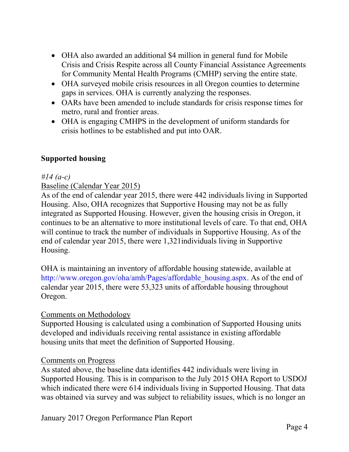- OHA also awarded an additional \$4 million in general fund for Mobile Crisis and Crisis Respite across all County Financial Assistance Agreements for Community Mental Health Programs (CMHP) serving the entire state.
- OHA surveyed mobile crisis resources in all Oregon counties to determine gaps in services. OHA is currently analyzing the responses.
- OARs have been amended to include standards for crisis response times for metro, rural and frontier areas.
- OHA is engaging CMHPS in the development of uniform standards for crisis hotlines to be established and put into OAR.

## **Supported housing**

## *#14 (a-c)*

## Baseline (Calendar Year 2015)

As of the end of calendar year 2015, there were 442 individuals living in Supported Housing. Also, OHA recognizes that Supportive Housing may not be as fully integrated as Supported Housing. However, given the housing crisis in Oregon, it continues to be an alternative to more institutional levels of care. To that end, OHA will continue to track the number of individuals in Supportive Housing. As of the end of calendar year 2015, there were 1,321individuals living in Supportive Housing.

OHA is maintaining an inventory of affordable housing statewide, available at [http://www.oregon.gov/oha/amh/Pages/affordable\\_housing.aspx.](http://www.oregon.gov/oha/amh/Pages/affordable_housing.aspx) As of the end of calendar year 2015, there were 53,323 units of affordable housing throughout Oregon.

## Comments on Methodology

Supported Housing is calculated using a combination of Supported Housing units developed and individuals receiving rental assistance in existing affordable housing units that meet the definition of Supported Housing.

#### Comments on Progress

As stated above, the baseline data identifies 442 individuals were living in Supported Housing. This is in comparison to the July 2015 OHA Report to USDOJ which indicated there were 614 individuals living in Supported Housing. That data was obtained via survey and was subject to reliability issues, which is no longer an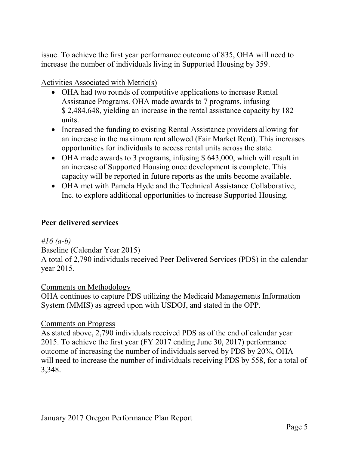issue. To achieve the first year performance outcome of 835, OHA will need to increase the number of individuals living in Supported Housing by 359.

## Activities Associated with Metric(s)

- OHA had two rounds of competitive applications to increase Rental Assistance Programs. OHA made awards to 7 programs, infusing \$ 2,484,648, yielding an increase in the rental assistance capacity by 182 units.
- Increased the funding to existing Rental Assistance providers allowing for an increase in the maximum rent allowed (Fair Market Rent). This increases opportunities for individuals to access rental units across the state.
- OHA made awards to 3 programs, infusing \$ 643,000, which will result in an increase of Supported Housing once development is complete. This capacity will be reported in future reports as the units become available.
- OHA met with Pamela Hyde and the Technical Assistance Collaborative, Inc. to explore additional opportunities to increase Supported Housing.

#### **Peer delivered services**

#### *#16 (a-b)*

#### Baseline (Calendar Year 2015)

A total of 2,790 individuals received Peer Delivered Services (PDS) in the calendar year 2015.

#### Comments on Methodology

OHA continues to capture PDS utilizing the Medicaid Managements Information System (MMIS) as agreed upon with USDOJ, and stated in the OPP.

#### Comments on Progress

As stated above, 2,790 individuals received PDS as of the end of calendar year 2015. To achieve the first year (FY 2017 ending June 30, 2017) performance outcome of increasing the number of individuals served by PDS by 20%, OHA will need to increase the number of individuals receiving PDS by 558, for a total of 3,348.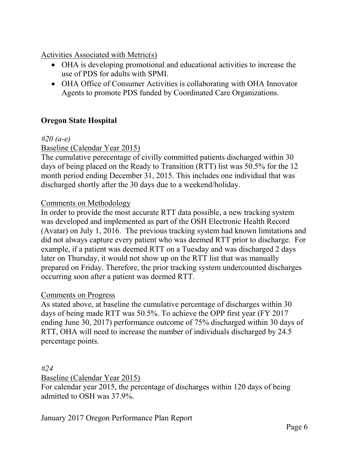Activities Associated with Metric(s)

- OHA is developing promotional and educational activities to increase the use of PDS for adults with SPMI.
- OHA Office of Consumer Activities is collaborating with OHA Innovator Agents to promote PDS funded by Coordinated Care Organizations.

## **Oregon State Hospital**

### *#20 (a-e)*

## Baseline (Calendar Year 2015)

The cumulative perecentage of civilly committed patients discharged within 30 days of being placed on the Ready to Transition (RTT) list was 50.5% for the 12 month period ending December 31, 2015. This includes one individual that was discharged shortly after the 30 days due to a weekend/holiday.

#### Comments on Methodology

In order to provide the most accurate RTT data possible, a new tracking system was developed and implemented as part of the OSH Electronic Health Record (Avatar) on July 1, 2016. The previous tracking system had known limitations and did not always capture every patient who was deemed RTT prior to discharge. For example, if a patient was deemed RTT on a Tuesday and was discharged 2 days later on Thursday, it would not show up on the RTT list that was manually prepared on Friday. Therefore, the prior tracking system undercounted discharges occurring soon after a patient was deemed RTT.

#### Comments on Progress

As stated above, at baseline the cumulative percentage of discharges within 30 days of being made RTT was 50.5%. To achieve the OPP first year (FY 2017 ending June 30, 2017) performance outcome of 75% discharged within 30 days of RTT, OHA will need to increase the number of individuals discharged by 24.5 percentage points.

*#24* Baseline (Calendar Year 2015) For calendar year 2015, the percentage of discharges within 120 days of being admitted to OSH was 37.9%.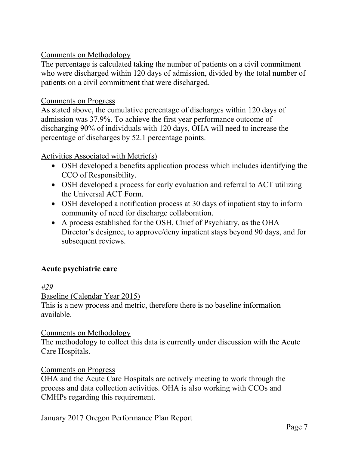## Comments on Methodology

The percentage is calculated taking the number of patients on a civil commitment who were discharged within 120 days of admission, divided by the total number of patients on a civil commitment that were discharged.

### Comments on Progress

As stated above, the cumulative percentage of discharges within 120 days of admission was 37.9%. To achieve the first year performance outcome of discharging 90% of individuals with 120 days, OHA will need to increase the percentage of discharges by 52.1 percentage points.

## Activities Associated with Metric(s)

- OSH developed a benefits application process which includes identifying the CCO of Responsibility.
- OSH developed a process for early evaluation and referral to ACT utilizing the Universal ACT Form.
- OSH developed a notification process at 30 days of inpatient stay to inform community of need for discharge collaboration.
- A process established for the OSH, Chief of Psychiatry, as the OHA Director's designee, to approve/deny inpatient stays beyond 90 days, and for subsequent reviews.

## **Acute psychiatric care**

#### *#29*

## Baseline (Calendar Year 2015)

This is a new process and metric, therefore there is no baseline information available.

#### Comments on Methodology

The methodology to collect this data is currently under discussion with the Acute Care Hospitals.

#### Comments on Progress

OHA and the Acute Care Hospitals are actively meeting to work through the process and data collection activities. OHA is also working with CCOs and CMHPs regarding this requirement.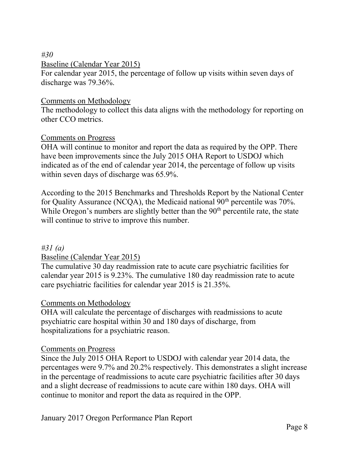#### *#30*

### Baseline (Calendar Year 2015)

For calendar year 2015, the percentage of follow up visits within seven days of discharge was 79.36%.

#### Comments on Methodology

The methodology to collect this data aligns with the methodology for reporting on other CCO metrics.

### Comments on Progress

OHA will continue to monitor and report the data as required by the OPP. There have been improvements since the July 2015 OHA Report to USDOJ which indicated as of the end of calendar year 2014, the percentage of follow up visits within seven days of discharge was 65.9%.

According to the 2015 Benchmarks and Thresholds Report by the National Center for Quality Assurance (NCQA), the Medicaid national  $90<sup>th</sup>$  percentile was 70%. While Oregon's numbers are slightly better than the 90<sup>th</sup> percentile rate, the state will continue to strive to improve this number.

#### *#31 (a)*

#### Baseline (Calendar Year 2015)

The cumulative 30 day readmission rate to acute care psychiatric facilities for calendar year 2015 is 9.23%. The cumulative 180 day readmission rate to acute care psychiatric facilities for calendar year 2015 is 21.35%.

#### Comments on Methodology

OHA will calculate the percentage of discharges with readmissions to acute psychiatric care hospital within 30 and 180 days of discharge, from hospitalizations for a psychiatric reason.

#### Comments on Progress

Since the July 2015 OHA Report to USDOJ with calendar year 2014 data, the percentages were 9.7% and 20.2% respectively. This demonstrates a slight increase in the percentage of readmissions to acute care psychiatric facilities after 30 days and a slight decrease of readmissions to acute care within 180 days. OHA will continue to monitor and report the data as required in the OPP.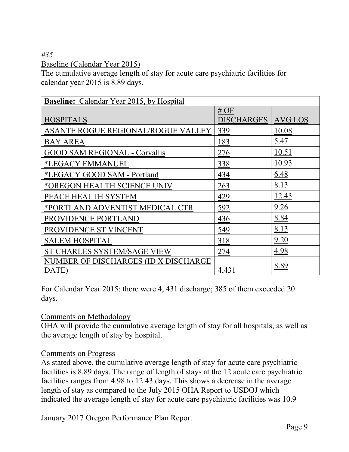*#35*

Baseline (Calendar Year 2015)

The cumulative average length of stay for acute care psychiatric facilities for calendar year 2015 is 8.89 days.

| <b>Baseline:</b> Calendar Year 2015, by Hospital |                   |         |
|--------------------------------------------------|-------------------|---------|
|                                                  | # $OF$            |         |
| <b>HOSPITALS</b>                                 | <b>DISCHARGES</b> | AVG LOS |
| <b>ASANTE ROGUE REGIONAL/ROGUE VALLEY</b>        | 339               | 10.08   |
| <b>BAY AREA</b>                                  | 183               | 5.47    |
| <b>GOOD SAM REGIONAL - Corvallis</b>             | 276               | 10.51   |
| *LEGACY EMMANUEL                                 | 338               | 10.93   |
| *LEGACY GOOD SAM - Portland                      | 434               | 6.48    |
| *OREGON HEALTH SCIENCE UNIV                      | 263               | 8.13    |
| PEACE HEALTH SYSTEM                              | 429               | 12.43   |
| *PORTLAND ADVENTIST MEDICAL CTR                  | 592               | 9.26    |
| <b>PROVIDENCE PORTLAND</b>                       | 436               | 8.84    |
| PROVIDENCE ST VINCENT                            | 549               | 8.13    |
| <b>SALEM HOSPITAL</b>                            | 318               | 9.20    |
| ST CHARLES SYSTEM/SAGE VIEW                      | 274               | 4.98    |
| NUMBER OF DISCHARGES (ID X DISCHARGE<br>DATE)    | 4,431             | 8.89    |

For Calendar Year 2015: there were 4, 431 discharge; 385 of them exceeded 20 days.

Comments on Methodology

OHA will provide the cumulative average length of stay for all hospitals, as well as the average length of stay by hospital.

#### Comments on Progress

As stated above, the cumulative average length of stay for acute care psychiatric facilities is 8.89 days. The range of length of stays at the 12 acute care psychiatric facilities ranges from 4.98 to 12.43 days. This shows a decrease in the average length of stay as compared to the July 2015 OHA Report to USDOJ which indicated the average length of stay for acute care psychiatric facilities was 10.9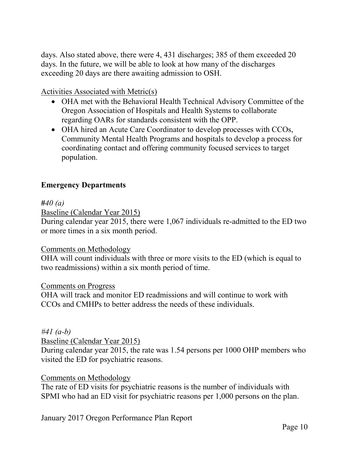days. Also stated above, there were 4, 431 discharges; 385 of them exceeded 20 days. In the future, we will be able to look at how many of the discharges exceeding 20 days are there awaiting admission to OSH.

Activities Associated with Metric(s)

- OHA met with the Behavioral Health Technical Advisory Committee of the Oregon Association of Hospitals and Health Systems to collaborate regarding OARs for standards consistent with the OPP.
- OHA hired an Acute Care Coordinator to develop processes with CCOs, Community Mental Health Programs and hospitals to develop a process for coordinating contact and offering community focused services to target population.

## **Emergency Departments**

#### *#40 (a)*

Baseline (Calendar Year 2015)

During calendar year 2015, there were 1,067 individuals re-admitted to the ED two or more times in a six month period.

#### Comments on Methodology

OHA will count individuals with three or more visits to the ED (which is equal to two readmissions) within a six month period of time.

#### Comments on Progress

OHA will track and monitor ED readmissions and will continue to work with CCOs and CMHPs to better address the needs of these individuals.

#### *#41 (a-b)*

Baseline (Calendar Year 2015)

During calendar year 2015, the rate was 1.54 persons per 1000 OHP members who visited the ED for psychiatric reasons.

#### Comments on Methodology

The rate of ED visits for psychiatric reasons is the number of individuals with SPMI who had an ED visit for psychiatric reasons per 1,000 persons on the plan.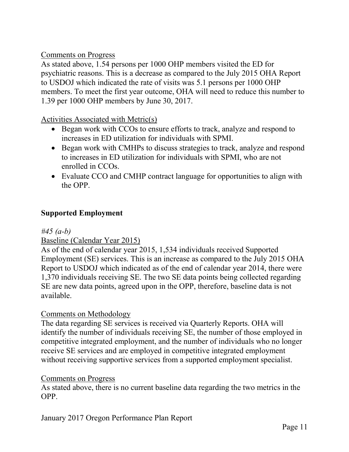Comments on Progress

As stated above, 1.54 persons per 1000 OHP members visited the ED for psychiatric reasons. This is a decrease as compared to the July 2015 OHA Report to USDOJ which indicated the rate of visits was 5.1 persons per 1000 OHP members. To meet the first year outcome, OHA will need to reduce this number to 1.39 per 1000 OHP members by June 30, 2017.

Activities Associated with Metric(s)

- Began work with CCOs to ensure efforts to track, analyze and respond to increases in ED utilization for individuals with SPMI.
- Began work with CMHPs to discuss strategies to track, analyze and respond to increases in ED utilization for individuals with SPMI, who are not enrolled in CCOs.
- Evaluate CCO and CMHP contract language for opportunities to align with the OPP.

## **Supported Employment**

*#45 (a-b)*

## Baseline (Calendar Year 2015)

As of the end of calendar year 2015, 1,534 individuals received Supported Employment (SE) services. This is an increase as compared to the July 2015 OHA Report to USDOJ which indicated as of the end of calendar year 2014, there were 1,370 individuals receiving SE. The two SE data points being collected regarding SE are new data points, agreed upon in the OPP, therefore, baseline data is not available.

#### Comments on Methodology

The data regarding SE services is received via Quarterly Reports. OHA will identify the number of individuals receiving SE, the number of those employed in competitive integrated employment, and the number of individuals who no longer receive SE services and are employed in competitive integrated employment without receiving supportive services from a supported employment specialist.

#### Comments on Progress

As stated above, there is no current baseline data regarding the two metrics in the OPP.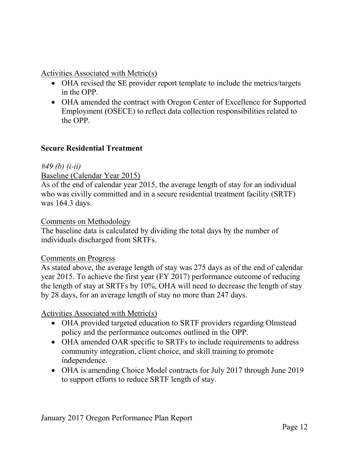Activities Associated with Metric(s)

- OHA revised the SE provider report template to include the metrics/targets in the OPP.
- OHA amended the contract with Oregon Center of Excellence for Supported Employment (OSECE) to reflect data collection responsibilities related to the OPP.

## **Secure Residential Treatment**

## *#49 (b) (i-ii)*

### Baseline (Calendar Year 2015)

As of the end of calendar year 2015, the average length of stay for an individual who was civilly committed and in a secure residential treatment facility (SRTF) was 164.3 days.

#### Comments on Methodology

The baseline data is calculated by dividing the total days by the number of individuals discharged from SRTFs.

#### Comments on Progress

As stated above, the average length of stay was 275 days as of the end of calendar year 2015. To achieve the first year (FY 2017) performance outcome of reducing the length of stay at SRTFs by 10%, OHA will need to decrease the length of stay by 28 days, for an average length of stay no more than 247 days.

## Activities Associated with Metric(s)

- OHA provided targeted education to SRTF providers regarding Olmstead policy and the performance outcomes outlined in the OPP.
- OHA amended OAR specific to SRTFs to include requirements to address community integration, client choice, and skill training to promote independence.
- OHA is amending Choice Model contracts for July 2017 through June 2019 to support efforts to reduce SRTF length of stay.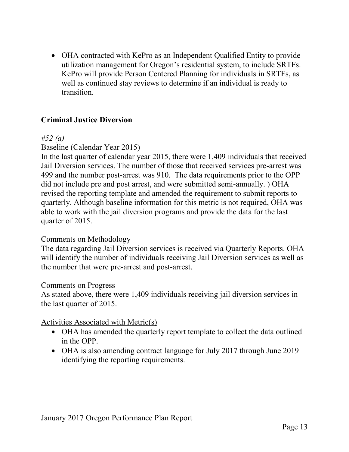• OHA contracted with KePro as an Independent Qualified Entity to provide utilization management for Oregon's residential system, to include SRTFs. KePro will provide Person Centered Planning for individuals in SRTFs, as well as continued stay reviews to determine if an individual is ready to transition.

## **Criminal Justice Diversion**

#### *#52 (a)*

## Baseline (Calendar Year 2015)

In the last quarter of calendar year 2015, there were 1,409 individuals that received Jail Diversion services. The number of those that received services pre-arrest was 499 and the number post-arrest was 910. The data requirements prior to the OPP did not include pre and post arrest, and were submitted semi-annually. ) OHA revised the reporting template and amended the requirement to submit reports to quarterly. Although baseline information for this metric is not required, OHA was able to work with the jail diversion programs and provide the data for the last quarter of 2015.

#### Comments on Methodology

The data regarding Jail Diversion services is received via Quarterly Reports. OHA will identify the number of individuals receiving Jail Diversion services as well as the number that were pre-arrest and post-arrest.

#### Comments on Progress

As stated above, there were 1,409 individuals receiving jail diversion services in the last quarter of 2015.

#### Activities Associated with Metric(s)

- OHA has amended the quarterly report template to collect the data outlined in the OPP.
- OHA is also amending contract language for July 2017 through June 2019 identifying the reporting requirements.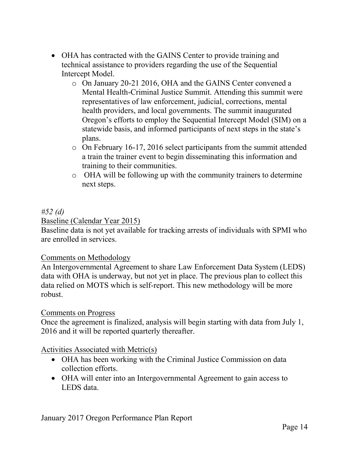- OHA has contracted with the GAINS Center to provide training and technical assistance to providers regarding the use of the Sequential Intercept Model.
	- o On January 20-21 2016, OHA and the GAINS Center convened a Mental Health-Criminal Justice Summit. Attending this summit were representatives of law enforcement, judicial, corrections, mental health providers, and local governments. The summit inaugurated Oregon's efforts to employ the Sequential Intercept Model (SIM) on a statewide basis, and informed participants of next steps in the state's plans.
	- o On February 16-17, 2016 select participants from the summit attended a train the trainer event to begin disseminating this information and training to their communities.
	- o OHA will be following up with the community trainers to determine next steps.

# *#52 (d)*

### Baseline (Calendar Year 2015)

Baseline data is not yet available for tracking arrests of individuals with SPMI who are enrolled in services.

#### Comments on Methodology

An Intergovernmental Agreement to share Law Enforcement Data System (LEDS) data with OHA is underway, but not yet in place. The previous plan to collect this data relied on MOTS which is self-report. This new methodology will be more robust.

#### Comments on Progress

Once the agreement is finalized, analysis will begin starting with data from July 1, 2016 and it will be reported quarterly thereafter.

## Activities Associated with Metric(s)

- OHA has been working with the Criminal Justice Commission on data collection efforts.
- OHA will enter into an Intergovernmental Agreement to gain access to LEDS data.